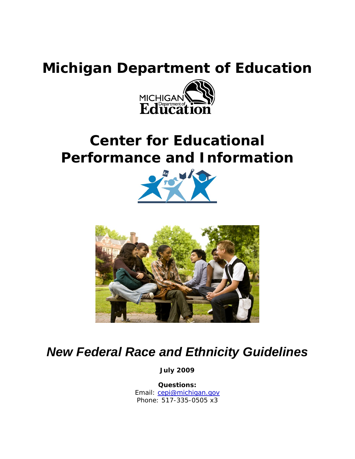# **Michigan Department of Education**



# **Center for Educational Performance and Information**





# *New Federal Race and Ethnicity Guidelines*

**July 2009**

**Questions:** Email: [cepi@michigan.gov](mailto:cepi@michigan.gov) Phone: 517-335-0505 x3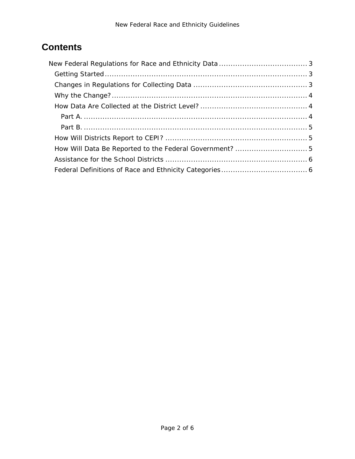## **Contents**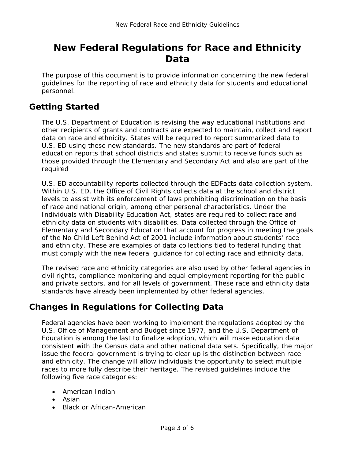## <span id="page-2-0"></span>**New Federal Regulations for Race and Ethnicity Data**

The purpose of this document is to provide information concerning the new federal guidelines for the reporting of race and ethnicity data for students and educational personnel.

### <span id="page-2-1"></span>**Getting Started**

The U.S. Department of Education is revising the way educational institutions and other recipients of grants and contracts are expected to maintain, collect and report data on race and ethnicity. States will be required to report summarized data to U.S. ED using these new standards. The new standards are part of federal education reports that school districts and states submit to receive funds such as those provided through the Elementary and Secondary Act and also are part of the required

U.S. ED accountability reports collected through the ED*Facts* data collection system. Within U.S. ED, the Office of Civil Rights collects data at the school and district levels to assist with its enforcement of laws prohibiting discrimination on the basis of race and national origin, among other personal characteristics. Under the Individuals with Disability Education Act, states are required to collect race and ethnicity data on students with disabilities. Data collected through the Office of Elementary and Secondary Education that account for progress in meeting the goals of the *No Child Left Behind Act of 2001* include information about students' race and ethnicity. These are examples of data collections tied to federal funding that must comply with the new federal guidance for collecting race and ethnicity data.

The revised race and ethnicity categories are also used by other federal agencies in civil rights, compliance monitoring and equal employment reporting for the public and private sectors, and for all levels of government. These race and ethnicity data standards have already been implemented by other federal agencies.

### <span id="page-2-2"></span>**Changes in Regulations for Collecting Data**

Federal agencies have been working to implement the regulations adopted by the U.S. Office of Management and Budget since 1977, and the U.S. Department of Education is among the last to finalize adoption, which will make education data consistent with the Census data and other national data sets. Specifically, the major issue the federal government is trying to clear up is the distinction between race and ethnicity. The change will allow individuals the opportunity to select multiple races to more fully describe their heritage. The revised guidelines include the following five race categories:

- American Indian
- Asian
- Black or African-American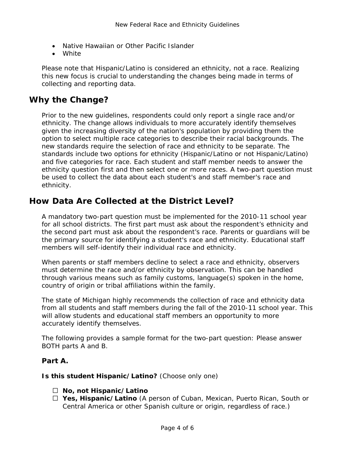- Native Hawaiian or Other Pacific Islander
- White

Please note that Hispanic/Latino is considered an ethnicity, not a race. Realizing this new focus is crucial to understanding the changes being made in terms of collecting and reporting data.

#### <span id="page-3-0"></span>**Why the Change?**

Prior to the new guidelines, respondents could only report a single race and/or ethnicity. The change allows individuals to more accurately identify themselves given the increasing diversity of the nation's population by providing them the option to select multiple race categories to describe their racial backgrounds. The new standards require the selection of race and ethnicity to be separate. The standards include two options for ethnicity (Hispanic/Latino or not Hispanic/Latino) and five categories for race. Each student and staff member needs to answer the ethnicity question first and then select one or more races. A two-part question must be used to collect the data about each student's and staff member's race and ethnicity.

#### <span id="page-3-1"></span>**How Data Are Collected at the District Level?**

A mandatory two-part question must be implemented for the 2010-11 school year for all school districts. The first part must ask about the respondent's ethnicity and the second part must ask about the respondent's race. Parents or guardians will be the primary source for identifying a student's race and ethnicity. Educational staff members will self-identify their individual race and ethnicity.

When parents or staff members decline to select a race and ethnicity, observers must determine the race and/or ethnicity by observation. This can be handled through various means such as family customs, language(s) spoken in the home, country of origin or tribal affiliations within the family.

The state of Michigan highly recommends the collection of race and ethnicity data from all students and staff members during the fall of the 2010-11 school year. This will allow students and educational staff members an opportunity to more accurately identify themselves.

The following provides a sample format for the two-part question: Please answer BOTH parts A and B.

#### <span id="page-3-2"></span>**Part A.**

**Is this student Hispanic/Latino?** *(Choose only one)*

- **No, not Hispanic/Latino**
- **Yes, Hispanic/Latino** (A person of Cuban, Mexican, Puerto Rican, South or Central America or other Spanish culture or origin, regardless of race.)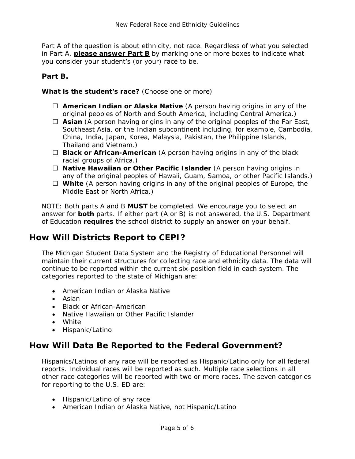Part A of the question is about ethnicity, not race. Regardless of what you selected in Part A, **please answer Part B** by marking one or more boxes to indicate what you consider your student's (or your) race to be.

#### <span id="page-4-0"></span>**Part B.**

#### **What is the student's race?** *(Choose one or more)*

- **American Indian or Alaska Native** (A person having origins in any of the original peoples of North and South America, including Central America.)
- $\Box$  **Asian** (A person having origins in any of the original peoples of the Far East, Southeast Asia, or the Indian subcontinent including, for example, Cambodia, China, India, Japan, Korea, Malaysia, Pakistan, the Philippine Islands, Thailand and Vietnam.)
- **Black or African-American** (A person having origins in any of the black racial groups of Africa.)
- **Native Hawaiian or Other Pacific Islander** (A person having origins in any of the original peoples of Hawaii, Guam, Samoa, or other Pacific Islands.)
- **White** (A person having origins in any of the original peoples of Europe, the Middle East or North Africa.)

NOTE: Both parts A and B **MUST** be completed. We encourage you to select an answer for **both** parts. If either part (A or B) is not answered, the U.S. Department of Education **requires** the school district to supply an answer on your behalf.

#### <span id="page-4-1"></span>**How Will Districts Report to CEPI?**

The Michigan Student Data System and the Registry of Educational Personnel will maintain their current structures for collecting race and ethnicity data. The data will continue to be reported within the current six-position field in each system. The categories reported to the state of Michigan are:

- American Indian or Alaska Native
- Asian
- Black or African-American
- Native Hawaiian or Other Pacific Islander
- White
- Hispanic/Latino

#### <span id="page-4-2"></span>**How Will Data Be Reported to the Federal Government?**

Hispanics/Latinos of any race will be reported as Hispanic/Latino only for all federal reports. Individual races will be reported as such. Multiple race selections in all other race categories will be reported with two or more races. The seven categories for reporting to the U.S. ED are:

- Hispanic/Latino of any race
- American Indian or Alaska Native, not Hispanic/Latino